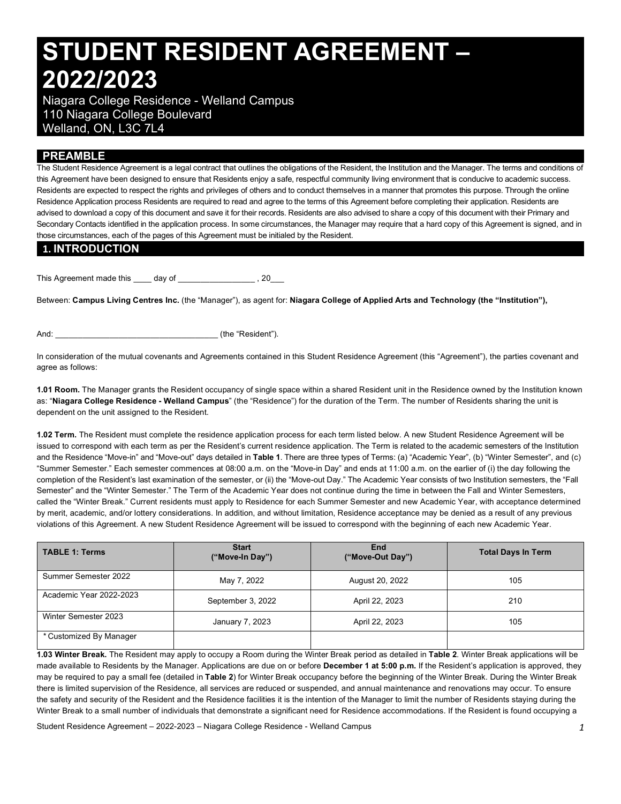# **STUDENT RESIDENT AGREEMENT – 2022/2023**

 Niagara College Residence - Welland Campus 110 Niagara College Boulevard Welland, ON, L3C 7L4

## **PREAMBLE**

 The Student Residence Agreement is a legal contract that outlines the obligations of the Resident, the Institution and the Manager. The terms and conditions of this Agreement have been designed to ensure that Residents enjoy a safe, respectful community living environment that is conducive to academic success. Residents are expected to respect the rights and privileges of others and to conduct themselves in a manner that promotes this purpose. Through the online Residence Application process Residents are required to read and agree to the terms of this Agreement before completing their application. Residents are advised to download a copy of this document and save it for their records. Residents are also advised to share a copy of this document with their Primary and Secondary Contacts identified in the application process. In some circumstances, the Manager may require that a hard copy of this Agreement is signed, and in those circumstances, each of the pages of this Agreement must be initialed by the Resident.

### **1. INTRODUCTION**

This Agreement made this \_\_\_\_ day of \_\_\_\_\_\_\_\_\_\_\_\_\_\_\_\_\_\_\_\_\_, 20\_\_\_

 Between: **Campus Living Centres Inc.** (the "Manager"), as agent for: **Niagara College of Applied Arts and Technology (the "Institution"),** 

And:  $\qquad \qquad$  (the "Resident").

 In consideration of the mutual covenants and Agreements contained in this Student Residence Agreement (this "Agreement"), the parties covenant and agree as follows:

 **1.01 Room.** The Manager grants the Resident occupancy of single space within a shared Resident unit in the Residence owned by the Institution known  as: "**Niagara College Residence - Welland Campus**" (the "Residence") for the duration of the Term. The number of Residents sharing the unit is dependent on the unit assigned to the Resident.

 **1.02 Term.** The Resident must complete the residence application process for each term listed below. A new Student Residence Agreement will be issued to correspond with each term as per the Resident's current residence application. The Term is related to the academic semesters of the Institution and the Residence "Move-in" and "Move-out" days detailed in **Table 1**. There are three types of Terms: (a) "Academic Year", (b) "Winter Semester", and (c) "Summer Semester." Each semester commences at 08:00 a.m. on the "Move-in Day" and ends at 11:00 a.m. on the earlier of (i) the day following the completion of the Resident's last examination of the semester, or (ii) the "Move-out Day." The Academic Year consists of two Institution semesters, the "Fall Semester" and the "Winter Semester." The Term of the Academic Year does not continue during the time in between the Fall and Winter Semesters, called the "Winter Break." Current residents must apply to Residence for each Summer Semester and new Academic Year, with acceptance determined by merit, academic, and/or lottery considerations. In addition, and without limitation, Residence acceptance may be denied as a result of any previous violations of this Agreement. A new Student Residence Agreement will be issued to correspond with the beginning of each new Academic Year.

| <b>TABLE 1: Terms</b>   | <b>Start</b><br>("Move-In Day") | End<br>("Move-Out Day") | <b>Total Days In Term</b> |  |
|-------------------------|---------------------------------|-------------------------|---------------------------|--|
| Summer Semester 2022    | May 7, 2022                     | August 20, 2022         | 105                       |  |
| Academic Year 2022-2023 | September 3, 2022               | April 22, 2023          | 210                       |  |
| Winter Semester 2023    | January 7, 2023                 | April 22, 2023          | 105                       |  |
| * Customized By Manager |                                 |                         |                           |  |

 **1.03 Winter Break.** The Resident may apply to occupy a Room during the Winter Break period as detailed in **Table 2**. Winter Break applications will be made available to Residents by the Manager. Applications are due on or before **December 1 at 5:00 p.m.** If the Resident's application is approved, they may be required to pay a small fee (detailed in **Table 2**) for Winter Break occupancy before the beginning of the Winter Break. During the Winter Break there is limited supervision of the Residence, all services are reduced or suspended, and annual maintenance and renovations may occur. To ensure the safety and security of the Resident and the Residence facilities it is the intention of the Manager to limit the number of Residents staying during the Winter Break to a small number of individuals that demonstrate a significant need for Residence accommodations. If the Resident is found occupying a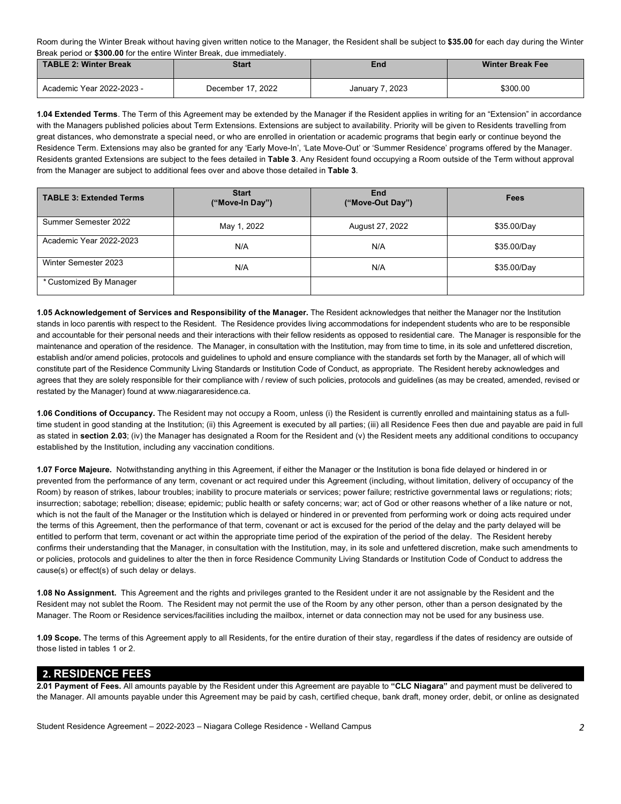Room during the Winter Break without having given written notice to the Manager, the Resident shall be subject to **\$35.00** for each day during the Winter Break period or **\$300.00** for the entire Winter Break, due immediately.

| TABLE 2: Winter Break<br>Start |                   | End             | <b>Winter Break Fee</b> |  |
|--------------------------------|-------------------|-----------------|-------------------------|--|
| Academic Year 2022-2023 -      | December 17, 2022 | January 7, 2023 | \$300.00                |  |

 **1.04 Extended Terms**. The Term of this Agreement may be extended by the Manager if the Resident applies in writing for an "Extension" in accordance with the Managers published policies about Term Extensions. Extensions are subject to availability. Priority will be given to Residents travelling from great distances, who demonstrate a special need, or who are enrolled in orientation or academic programs that begin early or continue beyond the Residence Term. Extensions may also be granted for any 'Early Move-In', 'Late Move-Out' or 'Summer Residence' programs offered by the Manager. Residents granted Extensions are subject to the fees detailed in **Table 3**. Any Resident found occupying a Room outside of the Term without approval from the Manager are subject to additional fees over and above those detailed in **Table 3**.

| <b>TABLE 3: Extended Terms</b> | <b>Start</b><br>("Move-In Day") | End<br>("Move-Out Day") | Fees        |  |
|--------------------------------|---------------------------------|-------------------------|-------------|--|
| Summer Semester 2022           | May 1, 2022                     | August 27, 2022         | \$35.00/Day |  |
| Academic Year 2022-2023        | N/A                             | N/A                     | \$35.00/Day |  |
| Winter Semester 2023           | N/A                             | N/A                     | \$35.00/Day |  |
| * Customized By Manager        |                                 |                         |             |  |

 **1.05 Acknowledgement of Services and Responsibility of the Manager.** The Resident acknowledges that neither the Manager nor the Institution stands in loco parentis with respect to the Resident. The Residence provides living accommodations for independent students who are to be responsible and accountable for their personal needs and their interactions with their fellow residents as opposed to residential care. The Manager is responsible for the maintenance and operation of the residence. The Manager, in consultation with the Institution, may from time to time, in its sole and unfettered discretion, establish and/or amend policies, protocols and guidelines to uphold and ensure compliance with the standards set forth by the Manager, all of which will constitute part of the Residence Community Living Standards or Institution Code of Conduct, as appropriate. The Resident hereby acknowledges and agrees that they are solely responsible for their compliance with / review of such policies, protocols and guidelines (as may be created, amended, revised or restated by the Manager) found at [www.niagararesidence.ca.](www.niagararesidence.ca)

 **1.06 Conditions of Occupancy.** The Resident may not occupy a Room, unless (i) the Resident is currently enrolled and maintaining status as a full- time student in good standing at the Institution; (ii) this Agreement is executed by all parties; (iii) all Residence Fees then due and payable are paid in full as stated in **section 2.03**; (iv) the Manager has designated a Room for the Resident and (v) the Resident meets any additional conditions to occupancy established by the Institution, including any vaccination conditions.

 **1.07 Force Majeure.** Notwithstanding anything in this Agreement, if either the Manager or the Institution is bona fide delayed or hindered in or prevented from the performance of any term, covenant or act required under this Agreement (including, without limitation, delivery of occupancy of the Room) by reason of strikes, labour troubles; inability to procure materials or services; power failure; restrictive governmental laws or regulations; riots; insurrection; sabotage; rebellion; disease; epidemic; public health or safety concerns; war; act of God or other reasons whether of a like nature or not, which is not the fault of the Manager or the Institution which is delayed or hindered in or prevented from performing work or doing acts required under the terms of this Agreement, then the performance of that term, covenant or act is excused for the period of the delay and the party delayed will be entitled to perform that term, covenant or act within the appropriate time period of the expiration of the period of the delay. The Resident hereby confirms their understanding that the Manager, in consultation with the Institution, may, in its sole and unfettered discretion, make such amendments to or policies, protocols and guidelines to alter the then in force Residence Community Living Standards or Institution Code of Conduct to address the cause(s) or effect(s) of such delay or delays.

 **1.08 No Assignment.** This Agreement and the rights and privileges granted to the Resident under it are not assignable by the Resident and the Resident may not sublet the Room. The Resident may not permit the use of the Room by any other person, other than a person designated by the Manager. The Room or Residence services/facilities including the mailbox, internet or data connection may not be used for any business use.

 **1.09 Scope.** The terms of this Agreement apply to all Residents, for the entire duration of their stay, regardless if the dates of residency are outside of those listed in tables 1 or 2.

## **2. RESIDENCE FEES**

 **2.01 Payment of Fees.** All amounts payable by the Resident under this Agreement are payable to **"CLC Niagara"** and payment must be delivered to the Manager. All amounts payable under this Agreement may be paid by cash, certified cheque, bank draft, money order, debit, or online as designated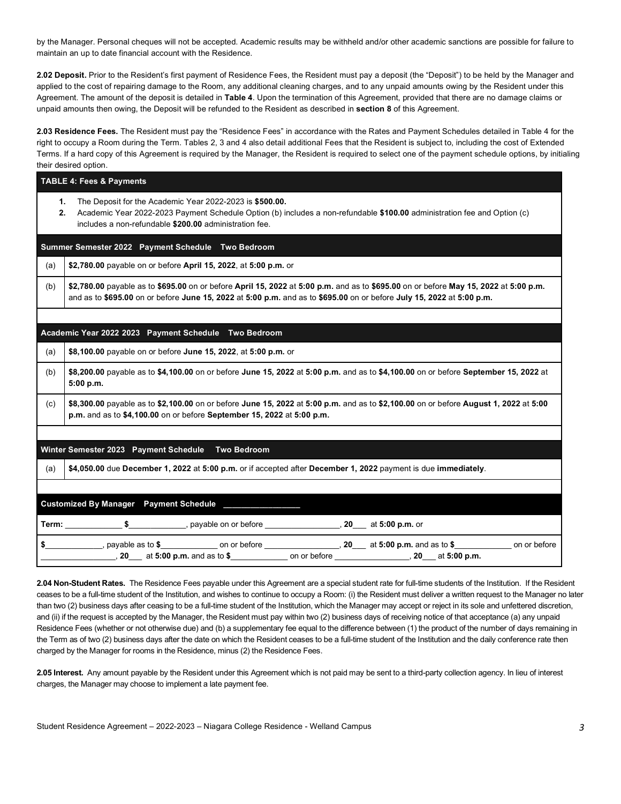by the Manager. Personal cheques will not be accepted. Academic results may be withheld and/or other academic sanctions are possible for failure to maintain an up to date financial account with the Residence.

 **2.02 Deposit.** Prior to the Resident's first payment of Residence Fees, the Resident must pay a deposit (the "Deposit") to be held by the Manager and applied to the cost of repairing damage to the Room, any additional cleaning charges, and to any unpaid amounts owing by the Resident under this Agreement. The amount of the deposit is detailed in **Table 4**. Upon the termination of this Agreement, provided that there are no damage claims or unpaid amounts then owing, the Deposit will be refunded to the Resident as described in **section 8** of this Agreement.

 **2.03 Residence Fees.** The Resident must pay the "Residence Fees" in accordance with the Rates and Payment Schedules detailed in Table 4 for the right to occupy a Room during the Term. Tables 2, 3 and 4 also detail additional Fees that the Resident is subject to, including the cost of Extended Terms. If a hard copy of this Agreement is required by the Manager, the Resident is required to select one of the payment schedule options, by initialing their desired option.

|          | <b>TABLE 4: Fees &amp; Payments</b>                                                                                                                                                                                                                           |  |  |  |  |  |
|----------|---------------------------------------------------------------------------------------------------------------------------------------------------------------------------------------------------------------------------------------------------------------|--|--|--|--|--|
| 1.<br>2. | The Deposit for the Academic Year 2022-2023 is \$500.00.<br>Academic Year 2022-2023 Payment Schedule Option (b) includes a non-refundable \$100.00 administration fee and Option (c)<br>includes a non-refundable \$200.00 administration fee.                |  |  |  |  |  |
|          | Summer Semester 2022 Payment Schedule Two Bedroom                                                                                                                                                                                                             |  |  |  |  |  |
| (a)      | \$2,780.00 payable on or before April 15, 2022, at 5:00 p.m. or                                                                                                                                                                                               |  |  |  |  |  |
| (b)      | \$2,780.00 payable as to \$695.00 on or before April 15, 2022 at 5:00 p.m. and as to \$695.00 on or before May 15, 2022 at 5:00 p.m.<br>and as to \$695.00 on or before June 15, 2022 at 5:00 p.m. and as to \$695.00 on or before July 15, 2022 at 5:00 p.m. |  |  |  |  |  |
|          |                                                                                                                                                                                                                                                               |  |  |  |  |  |
|          | Academic Year 2022 2023 Payment Schedule Two Bedroom                                                                                                                                                                                                          |  |  |  |  |  |
| (a)      | \$8,100.00 payable on or before June 15, 2022, at 5:00 p.m. or                                                                                                                                                                                                |  |  |  |  |  |
| (b)      | \$8,200.00 payable as to \$4,100.00 on or before June 15, 2022 at 5:00 p.m. and as to \$4,100.00 on or before September 15, 2022 at<br>5:00 p.m.                                                                                                              |  |  |  |  |  |
| (c)      | \$8,300.00 payable as to \$2,100.00 on or before June 15, 2022 at 5:00 p.m. and as to \$2,100.00 on or before August 1, 2022 at 5:00<br>p.m. and as to \$4,100.00 on or before September 15, 2022 at 5:00 p.m.                                                |  |  |  |  |  |
|          |                                                                                                                                                                                                                                                               |  |  |  |  |  |
|          | Winter Semester 2023 Payment Schedule Two Bedroom                                                                                                                                                                                                             |  |  |  |  |  |
| (a)      | \$4,050.00 due December 1, 2022 at 5:00 p.m. or if accepted after December 1, 2022 payment is due immediately.                                                                                                                                                |  |  |  |  |  |
|          | Customized By Manager Payment Schedule ______________                                                                                                                                                                                                         |  |  |  |  |  |
|          | Term: $\frac{1}{2}$ $\frac{1}{2}$ $\frac{1}{2}$ $\frac{1}{2}$ $\frac{1}{2}$ $\frac{1}{2}$ at 5:00 p.m. or                                                                                                                                                     |  |  |  |  |  |
|          | \$_______________, payable as to \$_______________ on or before ________________, 20___ at 5:00 p.m. and as to \$_____________ on or before<br>20 at 5:00 p.m. and as to \$ _____________________ on or before __________________, 20 ____ at 5:00 p.m.       |  |  |  |  |  |

 **2.04 Non-Student Rates.** The Residence Fees payable under this Agreement are a special student rate for full-time students of the Institution. If the Resident ceases to be a full-time student of the Institution, and wishes to continue to occupy a Room: (i) the Resident must deliver a written request to the Manager no later than two (2) business days after ceasing to be a full-time student of the Institution, which the Manager may accept or reject in its sole and unfettered discretion, and (ii) if the request is accepted by the Manager, the Resident must pay within two (2) business days of receiving notice of that acceptance (a) any unpaid Residence Fees (whether or not otherwise due) and (b) a supplementary fee equal to the difference between (1) the product of the number of days remaining in the Term as of two (2) business days after the date on which the Resident ceases to be a full-time student of the Institution and the daily conference rate then charged by the Manager for rooms in the Residence, minus (2) the Residence Fees.

 **2.05 Interest.** Any amount payable by the Resident under this Agreement which is not paid may be sent to a third-party collection agency. In lieu of interest charges, the Manager may choose to implement a late payment fee.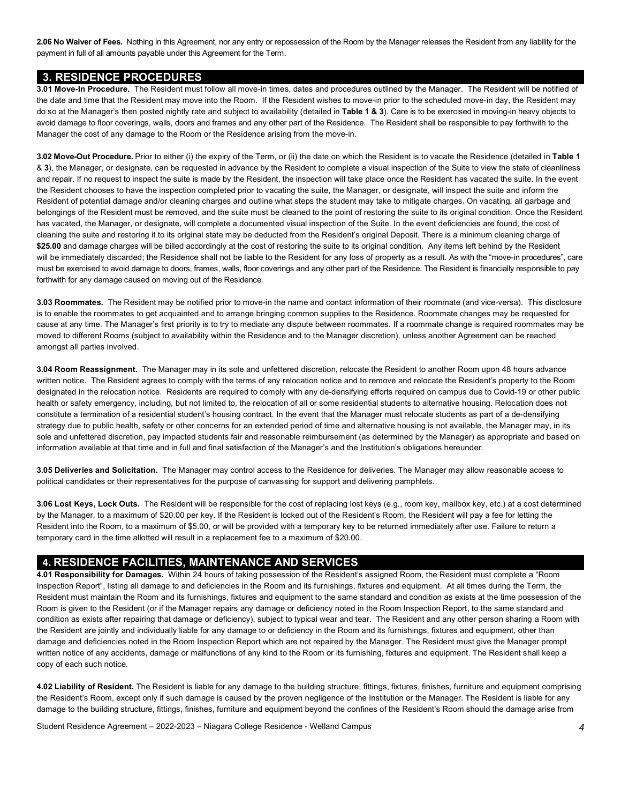**2.06 No Waiver of Fees.** Nothing in this Agreement, nor any entry or repossession of the Room by the Manager releases the Resident from any liability for the payment in full of all amounts payable under this Agreement for the Term.

#### **3. RESIDENCE PROCEDURES**

 **3.01 Move-In Procedure.** The Resident must follow all move-in times, dates and procedures outlined by the Manager. The Resident will be notified of the date and time that the Resident may move into the Room. If the Resident wishes to move-in prior to the scheduled move-in day, the Resident may do so at the Manager's then posted nightly rate and subject to availability (detailed in **Table 1 & 3**). Care is to be exercised in moving-in heavy objects to avoid damage to floor coverings, walls, doors and frames and any other part of the Residence. The Resident shall be responsible to pay forthwith to the Manager the cost of any damage to the Room or the Residence arising from the move-in.

 **3.02 Move-Out Procedure.** Prior to either (i) the expiry of the Term, or (ii) the date on which the Resident is to vacate the Residence (detailed in **Table 1**  & **3**), the Manager, or designate, can be requested in advance by the Resident to complete a visual inspection of the Suite to view the state of cleanliness and repair. If no request to inspect the suite is made by the Resident, the inspection will take place once the Resident has vacated the suite. In the event the Resident chooses to have the inspection completed prior to vacating the suite, the Manager, or designate, will inspect the suite and inform the Resident of potential damage and/or cleaning charges and outline what steps the student may take to mitigate charges. On vacating, all garbage and belongings of the Resident must be removed, and the suite must be cleaned to the point of restoring the suite to its original condition. Once the Resident has vacated, the Manager, or designate, will complete a documented visual inspection of the Suite. In the event deficiencies are found, the cost of cleaning the suite and restoring it to its original state may be deducted from the Resident's original Deposit. There is a minimum cleaning charge of \$25.00 and damage charges will be billed accordingly at the cost of restoring the suite to its original condition. Any items left behind by the Resident will be immediately discarded; the Residence shall not be liable to the Resident for any loss of property as a result. As with the "move-in procedures", care must be exercised to avoid damage to doors, frames, walls, floor coverings and any other part of the Residence. The Resident is financially responsible to pay forthwith for any damage caused on moving out of the Residence.

 **3.03 Roommates.** The Resident may be notified prior to move-in the name and contact information of their roommate (and vice-versa). This disclosure is to enable the roommates to get acquainted and to arrange bringing common supplies to the Residence. Roommate changes may be requested for cause at any time. The Manager's first priority is to try to mediate any dispute between roommates. If a roommate change is required roommates may be moved to different Rooms (subject to availability within the Residence and to the Manager discretion), unless another Agreement can be reached amongst all parties involved.

 **3.04 Room Reassignment.** The Manager may in its sole and unfettered discretion, relocate the Resident to another Room upon 48 hours advance written notice. The Resident agrees to comply with the terms of any relocation notice and to remove and relocate the Resident's property to the Room designated in the relocation notice. Residents are required to comply with any de-densifying efforts required on campus due to Covid-19 or other public health or safety emergency, including, but not limited to, the relocation of all or some residential students to alternative housing. Relocation does not constitute a termination of a residential student's housing contract. In the event that the Manager must relocate students as part of a de-densifying strategy due to public health, safety or other concerns for an extended period of time and alternative housing is not available, the Manager may, in its sole and unfettered discretion, pay impacted students fair and reasonable reimbursement (as determined by the Manager) as appropriate and based on information available at that time and in full and final satisfaction of the Manager's and the Institution's obligations hereunder.

 **3.05 Deliveries and Solicitation.** The Manager may control access to the Residence for deliveries. The Manager may allow reasonable access to political candidates or their representatives for the purpose of canvassing for support and delivering pamphlets.

 **3.06 Lost Keys, Lock Outs.** The Resident will be responsible for the cost of replacing lost keys (e.g., room key, mailbox key, etc.) at a cost determined by the Manager, to a maximum of \$20.00 per key. If the Resident is locked out of the Resident's Room, the Resident will pay a fee for letting the Resident into the Room, to a maximum of \$5.00, or will be provided with a temporary key to be returned immediately after use. Failure to return a temporary card in the time allotted will result in a replacement fee to a maximum of \$20.00.

#### **4. RESIDENCE FACILITIES, MAINTENANCE AND SERVICES**

 Inspection Report", listing all damage to and deficiencies in the Room and its furnishings, fixtures and equipment. At all times during the Term, the Resident must maintain the Room and its furnishings, fixtures and equipment to the same standard and condition as exists at the time possession of the Room is given to the Resident (or if the Manager repairs any damage or deficiency noted in the Room Inspection Report, to the same standard and condition as exists after repairing that damage or deficiency), subject to typical wear and tear. The Resident and any other person sharing a Room with the Resident are jointly and individually liable for any damage to or deficiency in the Room and its furnishings, fixtures and equipment, other than damage and deficiencies noted in the Room Inspection Report which are not repaired by the Manager. The Resident must give the Manager prompt written notice of any accidents, damage or malfunctions of any kind to the Room or its furnishing, fixtures and equipment. The Resident shall keep a copy of each such notice. **4.01 Responsibility for Damages.** Within 24 hours of taking possession of the Resident's assigned Room, the Resident must complete a "Room

 **4.02 Liability of Resident.** The Resident is liable for any damage to the building structure, fittings, fixtures, finishes, furniture and equipment comprising the Resident's Room, except only if such damage is caused by the proven negligence of the Institution or the Manager. The Resident is liable for any damage to the building structure, fittings, finishes, furniture and equipment beyond the confines of the Resident's Room should the damage arise from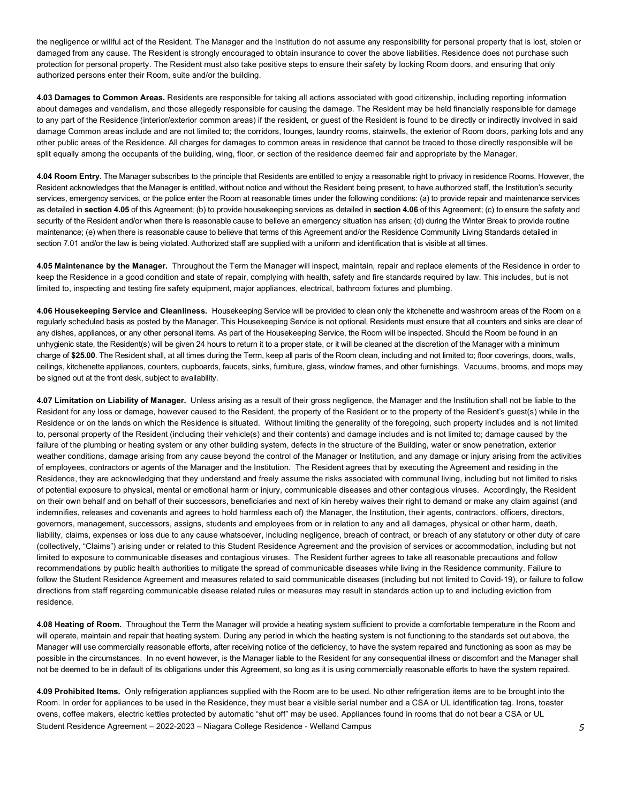the negligence or willful act of the Resident. The Manager and the Institution do not assume any responsibility for personal property that is lost, stolen or damaged from any cause. The Resident is strongly encouraged to obtain insurance to cover the above liabilities. Residence does not purchase such protection for personal property. The Resident must also take positive steps to ensure their safety by locking Room doors, and ensuring that only authorized persons enter their Room, suite and/or the building.

 **4.03 Damages to Common Areas.** Residents are responsible for taking all actions associated with good citizenship, including reporting information about damages and vandalism, and those allegedly responsible for causing the damage. The Resident may be held financially responsible for damage to any part of the Residence (interior/exterior common areas) if the resident, or guest of the Resident is found to be directly or indirectly involved in said damage Common areas include and are not limited to; the corridors, lounges, laundry rooms, stairwells, the exterior of Room doors, parking lots and any other public areas of the Residence. All charges for damages to common areas in residence that cannot be traced to those directly responsible will be split equally among the occupants of the building, wing, floor, or section of the residence deemed fair and appropriate by the Manager.

 **4.04 Room Entry.** The Manager subscribes to the principle that Residents are entitled to enjoy a reasonable right to privacy in residence Rooms. However, the Resident acknowledges that the Manager is entitled, without notice and without the Resident being present, to have authorized staff, the Institution's security services, emergency services, or the police enter the Room at reasonable times under the following conditions: (a) to provide repair and maintenance services as detailed in **section 4.05** of this Agreement; (b) to provide housekeeping services as detailed in **section 4.06** of this Agreement; (c) to ensure the safety and security of the Resident and/or when there is reasonable cause to believe an emergency situation has arisen; (d) during the Winter Break to provide routine maintenance; (e) when there is reasonable cause to believe that terms of this Agreement and/or the Residence Community Living Standards detailed in section 7.01 and/or the law is being violated. Authorized staff are supplied with a uniform and identification that is visible at all times.

 **4.05 Maintenance by the Manager.** Throughout the Term the Manager will inspect, maintain, repair and replace elements of the Residence in order to keep the Residence in a good condition and state of repair, complying with health, safety and fire standards required by law. This includes, but is not limited to, inspecting and testing fire safety equipment, major appliances, electrical, bathroom fixtures and plumbing.

 **4.06 Housekeeping Service and Cleanliness.** Housekeeping Service will be provided to clean only the kitchenette and washroom areas of the Room on a regularly scheduled basis as posted by the Manager. This Housekeeping Service is not optional. Residents must ensure that all counters and sinks are clear of any dishes, appliances, or any other personal items. As part of the Housekeeping Service, the Room will be inspected. Should the Room be found in an unhygienic state, the Resident(s) will be given 24 hours to return it to a proper state, or it will be cleaned at the discretion of the Manager with a minimum charge of **\$25.00**. The Resident shall, at all times during the Term, keep all parts of the Room clean, including and not limited to; floor coverings, doors, walls, ceilings, kitchenette appliances, counters, cupboards, faucets, sinks, furniture, glass, window frames, and other furnishings. Vacuums, brooms, and mops may be signed out at the front desk, subject to availability.

 **4.07 Limitation on Liability of Manager.** Unless arising as a result of their gross negligence, the Manager and the Institution shall not be liable to the Resident for any loss or damage, however caused to the Resident, the property of the Resident or to the property of the Resident's guest(s) while in the Residence or on the lands on which the Residence is situated. Without limiting the generality of the foregoing, such property includes and is not limited failure of the plumbing or heating system or any other building system, defects in the structure of the Building, water or snow penetration, exterior weather conditions, damage arising from any cause beyond the control of the Manager or Institution, and any damage or injury arising from the activities of employees, contractors or agents of the Manager and the Institution. The Resident agrees that by executing the Agreement and residing in the Residence, they are acknowledging that they understand and freely assume the risks associated with communal living, including but not limited to risks of potential exposure to physical, mental or emotional harm or injury, communicable diseases and other contagious viruses. Accordingly, the Resident on their own behalf and on behalf of their successors, beneficiaries and next of kin hereby waives their right to demand or make any claim against (and indemnifies, releases and covenants and agrees to hold harmless each of) the Manager, the Institution, their agents, contractors, officers, directors, governors, management, successors, assigns, students and employees from or in relation to any and all damages, physical or other harm, death, liability, claims, expenses or loss due to any cause whatsoever, including negligence, breach of contract, or breach of any statutory or other duty of care (collectively, "Claims") arising under or related to this Student Residence Agreement and the provision of services or accommodation, including but not limited to exposure to communicable diseases and contagious viruses. The Resident further agrees to take all reasonable precautions and follow recommendations by public health authorities to mitigate the spread of communicable diseases while living in the Residence community. Failure to follow the Student Residence Agreement and measures related to said communicable diseases (including but not limited to Covid-19), or failure to follow directions from staff regarding communicable disease related rules or measures may result in standards action up to and including eviction from to, personal property of the Resident (including their vehicle(s) and their contents) and damage includes and is not limited to; damage caused by the residence.

 **4.08 Heating of Room.** Throughout the Term the Manager will provide a heating system sufficient to provide a comfortable temperature in the Room and will operate, maintain and repair that heating system. During any period in which the heating system is not functioning to the standards set out above, the Manager will use commercially reasonable efforts, after receiving notice of the deficiency, to have the system repaired and functioning as soon as may be possible in the circumstances. In no event however, is the Manager liable to the Resident for any consequential illness or discomfort and the Manager shall not be deemed to be in default of its obligations under this Agreement, so long as it is using commercially reasonable efforts to have the system repaired.

 Student Residence Agreement – 2022-2023 – Niagara College Residence - Welland Campus *5*  **4.09 Prohibited Items.** Only refrigeration appliances supplied with the Room are to be used. No other refrigeration items are to be brought into the Room. In order for appliances to be used in the Residence, they must bear a visible serial number and a CSA or UL identification tag. Irons, toaster ovens, coffee makers, electric kettles protected by automatic "shut off" may be used. Appliances found in rooms that do not bear a CSA or UL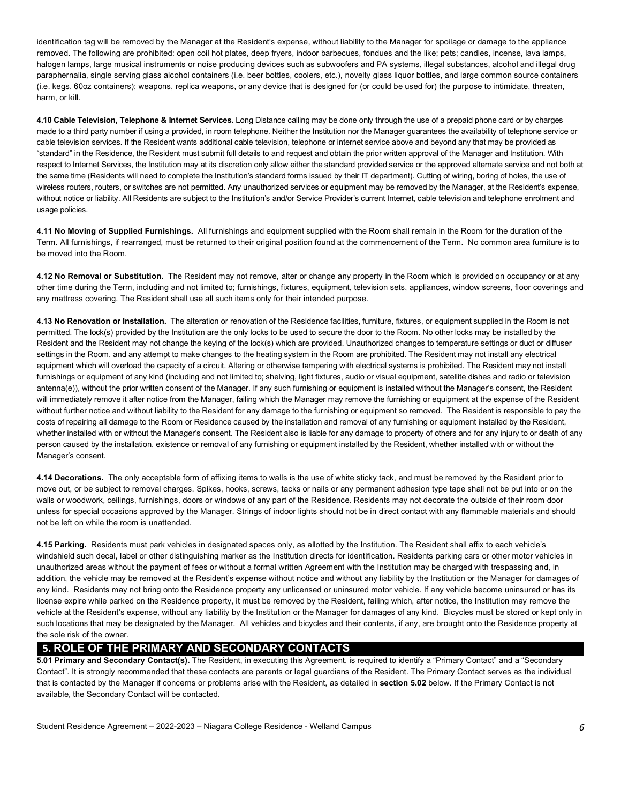identification tag will be removed by the Manager at the Resident's expense, without liability to the Manager for spoilage or damage to the appliance removed. The following are prohibited: open coil hot plates, deep fryers, indoor barbecues, fondues and the like; pets; candles, incense, lava lamps, halogen lamps, large musical instruments or noise producing devices such as subwoofers and PA systems, illegal substances, alcohol and illegal drug paraphernalia, single serving glass alcohol containers (i.e. beer bottles, coolers, etc.), novelty glass liquor bottles, and large common source containers (i.e. kegs, 60oz containers); weapons, replica weapons, or any device that is designed for (or could be used for) the purpose to intimidate, threaten, harm, or kill.

 **4.10 Cable Television, Telephone & Internet Services.** Long Distance calling may be done only through the use of a prepaid phone card or by charges made to a third party number if using a provided, in room telephone. Neither the Institution nor the Manager guarantees the availability of telephone service or cable television services. If the Resident wants additional cable television, telephone or internet service above and beyond any that may be provided as "standard" in the Residence, the Resident must submit full details to and request and obtain the prior written approval of the Manager and Institution. With respect to Internet Services, the Institution may at its discretion only allow either the standard provided service or the approved alternate service and not both at the same time (Residents will need to complete the Institution's standard forms issued by their IT department). Cutting of wiring, boring of holes, the use of wireless routers, routers, or switches are not permitted. Any unauthorized services or equipment may be removed by the Manager, at the Resident's expense, without notice or liability. All Residents are subject to the Institution's and/or Service Provider's current Internet, cable television and telephone enrolment and usage policies.

 **4.11 No Moving of Supplied Furnishings.** All furnishings and equipment supplied with the Room shall remain in the Room for the duration of the Term. All furnishings, if rearranged, must be returned to their original position found at the commencement of the Term. No common area furniture is to be moved into the Room.

 **4.12 No Removal or Substitution.** The Resident may not remove, alter or change any property in the Room which is provided on occupancy or at any other time during the Term, including and not limited to; furnishings, fixtures, equipment, television sets, appliances, window screens, floor coverings and any mattress covering. The Resident shall use all such items only for their intended purpose.

 **4.13 No Renovation or Installation.** The alteration or renovation of the Residence facilities, furniture, fixtures, or equipment supplied in the Room is not permitted. The lock(s) provided by the Institution are the only locks to be used to secure the door to the Room. No other locks may be installed by the Resident and the Resident may not change the keying of the lock(s) which are provided. Unauthorized changes to temperature settings or duct or diffuser settings in the Room, and any attempt to make changes to the heating system in the Room are prohibited. The Resident may not install any electrical equipment which will overload the capacity of a circuit. Altering or otherwise tampering with electrical systems is prohibited. The Resident may not install furnishings or equipment of any kind (including and not limited to; shelving, light fixtures, audio or visual equipment, satellite dishes and radio or television antenna(e)), without the prior written consent of the Manager. If any such furnishing or equipment is installed without the Manager's consent, the Resident will immediately remove it after notice from the Manager, failing which the Manager may remove the furnishing or equipment at the expense of the Resident without further notice and without liability to the Resident for any damage to the furnishing or equipment so removed. The Resident is responsible to pay the costs of repairing all damage to the Room or Residence caused by the installation and removal of any furnishing or equipment installed by the Resident, whether installed with or without the Manager's consent. The Resident also is liable for any damage to property of others and for any injury to or death of any person caused by the installation, existence or removal of any furnishing or equipment installed by the Resident, whether installed with or without the Manager's consent.

 **4.14 Decorations.** The only acceptable form of affixing items to walls is the use of white sticky tack, and must be removed by the Resident prior to move out, or be subject to removal charges. Spikes, hooks, screws, tacks or nails or any permanent adhesion type tape shall not be put into or on the walls or woodwork, ceilings, furnishings, doors or windows of any part of the Residence. Residents may not decorate the outside of their room door unless for special occasions approved by the Manager. Strings of indoor lights should not be in direct contact with any flammable materials and should not be left on while the room is unattended.

 **4.15 Parking.** Residents must park vehicles in designated spaces only, as allotted by the Institution. The Resident shall affix to each vehicle's windshield such decal, label or other distinguishing marker as the Institution directs for identification. Residents parking cars or other motor vehicles in unauthorized areas without the payment of fees or without a formal written Agreement with the Institution may be charged with trespassing and, in addition, the vehicle may be removed at the Resident's expense without notice and without any liability by the Institution or the Manager for damages of any kind. Residents may not bring onto the Residence property any unlicensed or uninsured motor vehicle. If any vehicle become uninsured or has its license expire while parked on the Residence property, it must be removed by the Resident, failing which, after notice, the Institution may remove the vehicle at the Resident's expense, without any liability by the Institution or the Manager for damages of any kind. Bicycles must be stored or kept only in such locations that may be designated by the Manager. All vehicles and bicycles and their contents, if any, are brought onto the Residence property at the sole risk of the owner.

## **5. ROLE OF THE PRIMARY AND SECONDARY CONTACTS**

 **5.01 Primary and Secondary Contact(s).** The Resident, in executing this Agreement, is required to identify a "Primary Contact" and a "Secondary Contact". It is strongly recommended that these contacts are parents or legal guardians of the Resident. The Primary Contact serves as the individual that is contacted by the Manager if concerns or problems arise with the Resident, as detailed in **section 5.02** below. If the Primary Contact is not available, the Secondary Contact will be contacted.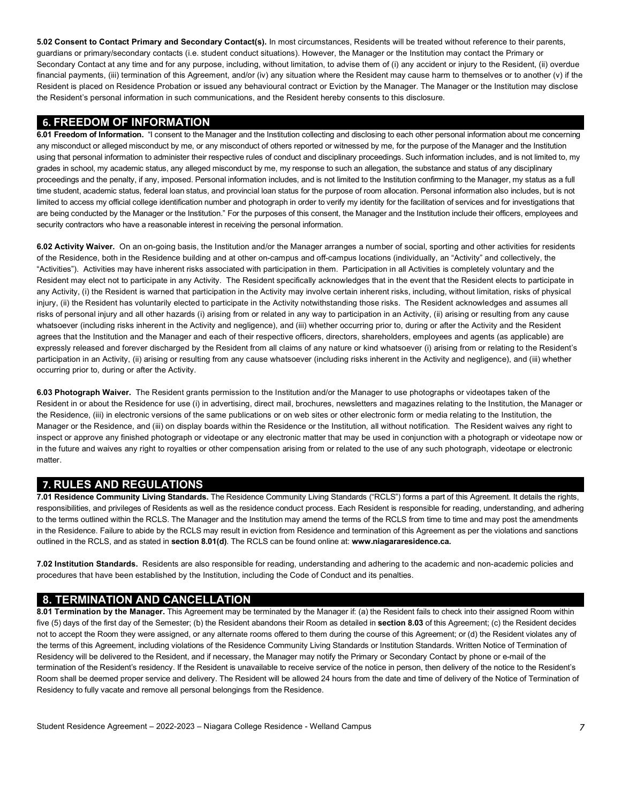**5.02 Consent to Contact Primary and Secondary Contact(s).** In most circumstances, Residents will be treated without reference to their parents, guardians or primary/secondary contacts (i.e. student conduct situations). However, the Manager or the Institution may contact the Primary or Secondary Contact at any time and for any purpose, including, without limitation, to advise them of (i) any accident or injury to the Resident, (ii) overdue financial payments, (iii) termination of this Agreement, and/or (iv) any situation where the Resident may cause harm to themselves or to another (v) if the Resident is placed on Residence Probation or issued any behavioural contract or Eviction by the Manager. The Manager or the Institution may disclose the Resident's personal information in such communications, and the Resident hereby consents to this disclosure.

### **6. FREEDOM OF INFORMATION**

 **6.01 Freedom of Information.** "I consent to the Manager and the Institution collecting and disclosing to each other personal information about me concerning any misconduct or alleged misconduct by me, or any misconduct of others reported or witnessed by me, for the purpose of the Manager and the Institution using that personal information to administer their respective rules of conduct and disciplinary proceedings. Such information includes, and is not limited to, my grades in school, my academic status, any alleged misconduct by me, my response to such an allegation, the substance and status of any disciplinary proceedings and the penalty, if any, imposed. Personal information includes, and is not limited to the Institution confirming to the Manager, my status as a full time student, academic status, federal loan status, and provincial loan status for the purpose of room allocation. Personal information also includes, but is not limited to access my official college identification number and photograph in order to verify my identity for the facilitation of services and for investigations that are being conducted by the Manager or the Institution." For the purposes of this consent, the Manager and the Institution include their officers, employees and security contractors who have a reasonable interest in receiving the personal information.

 **6.02 Activity Waiver.** On an on-going basis, the Institution and/or the Manager arranges a number of social, sporting and other activities for residents of the Residence, both in the Residence building and at other on-campus and off-campus locations (individually, an "Activity" and collectively, the "Activities"). Activities may have inherent risks associated with participation in them. Participation in all Activities is completely voluntary and the Resident may elect not to participate in any Activity. The Resident specifically acknowledges that in the event that the Resident elects to participate in any Activity, (i) the Resident is warned that participation in the Activity may involve certain inherent risks, including, without limitation, risks of physical injury, (ii) the Resident has voluntarily elected to participate in the Activity notwithstanding those risks. The Resident acknowledges and assumes all risks of personal injury and all other hazards (i) arising from or related in any way to participation in an Activity, (ii) arising or resulting from any cause whatsoever (including risks inherent in the Activity and negligence), and (iii) whether occurring prior to, during or after the Activity and the Resident agrees that the Institution and the Manager and each of their respective officers, directors, shareholders, employees and agents (as applicable) are expressly released and forever discharged by the Resident from all claims of any nature or kind whatsoever (i) arising from or relating to the Resident's participation in an Activity, (ii) arising or resulting from any cause whatsoever (including risks inherent in the Activity and negligence), and (iii) whether occurring prior to, during or after the Activity.

 **6.03 Photograph Waiver.** The Resident grants permission to the Institution and/or the Manager to use photographs or videotapes taken of the Resident in or about the Residence for use (i) in advertising, direct mail, brochures, newsletters and magazines relating to the Institution, the Manager or the Residence, (iii) in electronic versions of the same publications or on web sites or other electronic form or media relating to the Institution, the Manager or the Residence, and (iii) on display boards within the Residence or the Institution, all without notification. The Resident waives any right to inspect or approve any finished photograph or videotape or any electronic matter that may be used in conjunction with a photograph or videotape now or in the future and waives any right to royalties or other compensation arising from or related to the use of any such photograph, videotape or electronic matter.

## **7. RULES AND REGULATIONS**

 responsibilities, and privileges of Residents as well as the residence conduct process. Each Resident is responsible for reading, understanding, and adhering to the terms outlined within the RCLS. The Manager and the Institution may amend the terms of the RCLS from time to time and may post the amendments in the Residence. Failure to abide by the RCLS may result in eviction from Residence and termination of this Agreement as per the violations and sanctions outlined in the RCLS, and as stated in **section 8.01(d)**. The RCLS can be found online at: **[www.niagararesidence.ca.](www.niagararesidence.ca) 7.01 Residence Community Living Standards.** The Residence Community Living Standards ("RCLS") forms a part of this Agreement. It details the rights,

 **7.02 Institution Standards.** Residents are also responsible for reading, understanding and adhering to the academic and non-academic policies and procedures that have been established by the Institution, including the Code of Conduct and its penalties.

## **8. TERMINATION AND CANCELLATION**

 five (5) days of the first day of the Semester; (b) the Resident abandons their Room as detailed in **section 8.03** of this Agreement; (c) the Resident decides not to accept the Room they were assigned, or any alternate rooms offered to them during the course of this Agreement; or (d) the Resident violates any of Residency will be delivered to the Resident, and if necessary, the Manager may notify the Primary or Secondary Contact by phone or e-mail of the termination of the Resident's residency. If the Resident is unavailable to receive service of the notice in person, then delivery of the notice to the Resident's Room shall be deemed proper service and delivery. The Resident will be allowed 24 hours from the date and time of delivery of the Notice of Termination of Residency to fully vacate and remove all personal belongings from the Residence. **8.01 Termination by the Manager.** This Agreement may be terminated by the Manager if: (a) the Resident fails to check into their assigned Room within the terms of this Agreement, including violations of the Residence Community Living Standards or Institution Standards. Written Notice of Termination of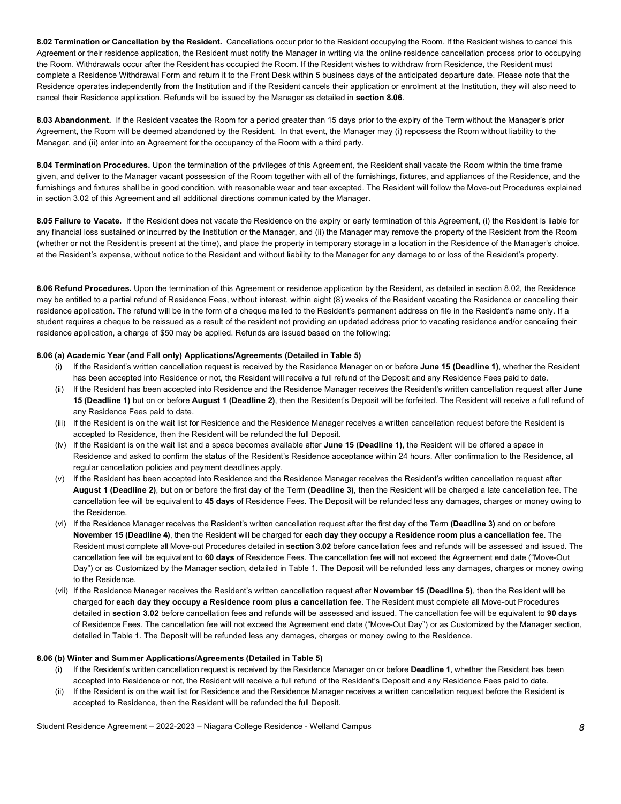**8.02 Termination or Cancellation by the Resident.** Cancellations occur prior to the Resident occupying the Room. If the Resident wishes to cancel this Agreement or their residence application, the Resident must notify the Manager in writing via the online residence cancellation process prior to occupying complete a Residence Withdrawal Form and return it to the Front Desk within 5 business days of the anticipated departure date. Please note that the Residence operates independently from the Institution and if the Resident cancels their application or enrolment at the Institution, they will also need to cancel their Residence application. Refunds will be issued by the Manager as detailed in **section 8.06**. the Room. Withdrawals occur after the Resident has occupied the Room. If the Resident wishes to withdraw from Residence, the Resident must

 **8.03 Abandonment.** If the Resident vacates the Room for a period greater than 15 days prior to the expiry of the Term without the Manager's prior Agreement, the Room will be deemed abandoned by the Resident. In that event, the Manager may (i) repossess the Room without liability to the Manager, and (ii) enter into an Agreement for the occupancy of the Room with a third party.

 **8.04 Termination Procedures.** Upon the termination of the privileges of this Agreement, the Resident shall vacate the Room within the time frame given, and deliver to the Manager vacant possession of the Room together with all of the furnishings, fixtures, and appliances of the Residence, and the furnishings and fixtures shall be in good condition, with reasonable wear and tear excepted. The Resident will follow the Move-out Procedures explained in section 3.02 of this Agreement and all additional directions communicated by the Manager.

 **8.05 Failure to Vacate.** If the Resident does not vacate the Residence on the expiry or early termination of this Agreement, (i) the Resident is liable for any financial loss sustained or incurred by the Institution or the Manager, and (ii) the Manager may remove the property of the Resident from the Room (whether or not the Resident is present at the time), and place the property in temporary storage in a location in the Residence of the Manager's choice, at the Resident's expense, without notice to the Resident and without liability to the Manager for any damage to or loss of the Resident's property.

 **8.06 Refund Procedures.** Upon the termination of this Agreement or residence application by the Resident, as detailed in section 8.02, the Residence may be entitled to a partial refund of Residence Fees, without interest, within eight (8) weeks of the Resident vacating the Residence or cancelling their residence application. The refund will be in the form of a cheque mailed to the Resident's permanent address on file in the Resident's name only. If a student requires a cheque to be reissued as a result of the resident not providing an updated address prior to vacating residence and/or canceling their residence application, a charge of \$50 may be applied. Refunds are issued based on the following:

#### **8.06 (a) Academic Year (and Fall only) Applications/Agreements (Detailed in Table 5)**

- (i) If the Resident's written cancellation request is received by the Residence Manager on or before **June 15 (Deadline 1)**, whether the Resident has been accepted into Residence or not, the Resident will receive a full refund of the Deposit and any Residence Fees paid to date.
- (ii) If the Resident has been accepted into Residence and the Residence Manager receives the Resident's written cancellation request after **June 15 (Deadline 1)** but on or before **August 1 (Deadline 2)**, then the Resident's Deposit will be forfeited. The Resident will receive a full refund of any Residence Fees paid to date.
- (iii) If the Resident is on the wait list for Residence and the Residence Manager receives a written cancellation request before the Resident is accepted to Residence, then the Resident will be refunded the full Deposit.
- (iv) If the Resident is on the wait list and a space becomes available after **June 15 (Deadline 1)**, the Resident will be offered a space in Residence and asked to confirm the status of the Resident's Residence acceptance within 24 hours. After confirmation to the Residence, all regular cancellation policies and payment deadlines apply.
- (v) If the Resident has been accepted into Residence and the Residence Manager receives the Resident's written cancellation request after  **August 1 (Deadline 2)**, but on or before the first day of the Term **(Deadline 3)**, then the Resident will be charged a late cancellation fee. The cancellation fee will be equivalent to **45 days** of Residence Fees. The Deposit will be refunded less any damages, charges or money owing to the Residence.
- **November 15 (Deadline 4)**, then the Resident will be charged for **each day they occupy a Residence room plus a cancellation fee**. The Resident must complete all Move-out Procedures detailed in **section 3.02** before cancellation fees and refunds will be assessed and issued. The cancellation fee will be equivalent to **60 days** of Residence Fees. The cancellation fee will not exceed the Agreement end date ("Move-Out Day") or as Customized by the Manager section, detailed in Table 1. The Deposit will be refunded less any damages, charges or money owing (vi) If the Residence Manager receives the Resident's written cancellation request after the first day of the Term **(Deadline 3)** and on or before to the Residence.
- (vii) If the Residence Manager receives the Resident's written cancellation request after **November 15 (Deadline 5)**, then the Resident will be charged for **each day they occupy a Residence room plus a cancellation fee**. The Resident must complete all Move-out Procedures detailed in **section 3.02** before cancellation fees and refunds will be assessed and issued. The cancellation fee will be equivalent to **90 days**  of Residence Fees. The cancellation fee will not exceed the Agreement end date ("Move-Out Day") or as Customized by the Manager section, detailed in Table 1. The Deposit will be refunded less any damages, charges or money owing to the Residence.

#### **8.06 (b) Winter and Summer Applications/Agreements (Detailed in Table 5)**

- (i) If the Resident's written cancellation request is received by the Residence Manager on or before **Deadline 1**, whether the Resident has been accepted into Residence or not, the Resident will receive a full refund of the Resident's Deposit and any Residence Fees paid to date.
- (ii) If the Resident is on the wait list for Residence and the Residence Manager receives a written cancellation request before the Resident is accepted to Residence, then the Resident will be refunded the full Deposit.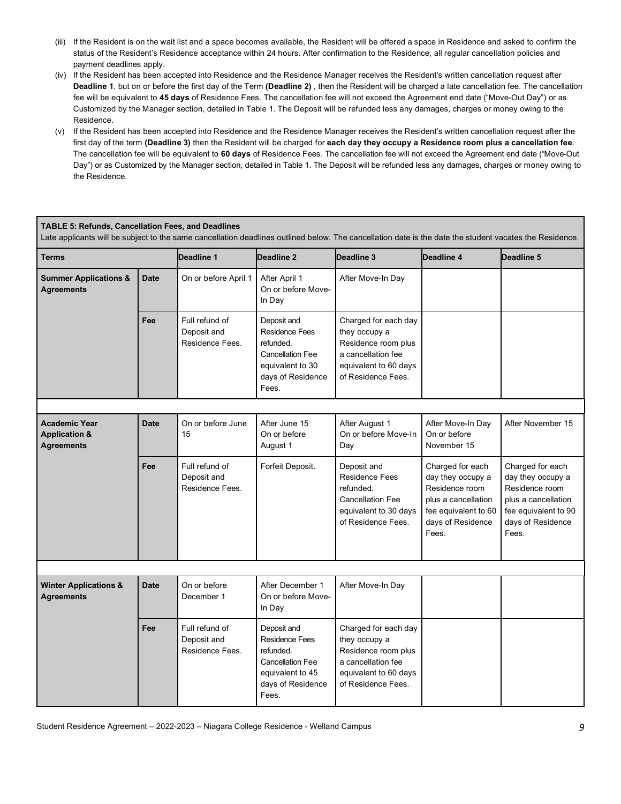- (iii) If the Resident is on the wait list and a space becomes available, the Resident will be offered a space in Residence and asked to confirm the status of the Resident's Residence acceptance within 24 hours. After confirmation to the Residence, all regular cancellation policies and payment deadlines apply.
- (iv) If the Resident has been accepted into Residence and the Residence Manager receives the Resident's written cancellation request after **Deadline 1**, but on or before the first day of the Term **(Deadline 2)** , then the Resident will be charged a late cancellation fee. The cancellation fee will be equivalent to **45 days** of Residence Fees. The cancellation fee will not exceed the Agreement end date ("Move-Out Day") or as Customized by the Manager section, detailed in Table 1. The Deposit will be refunded less any damages, charges or money owing to the Residence.
- (v) If the Resident has been accepted into Residence and the Residence Manager receives the Resident's written cancellation request after the The cancellation fee will be equivalent to **60 days** of Residence Fees. The cancellation fee will not exceed the Agreement end date ("Move-Out Day") or as Customized by the Manager section, detailed in Table 1. The Deposit will be refunded less any damages, charges or money owing to first day of the term **(Deadline 3)** then the Resident will be charged for **each day they occupy a Residence room plus a cancellation fee**. the Residence.

#### **TABLE 5: Refunds, Cancellation Fees, and Deadlines**

Late applicants will be subject to the same cancellation deadlines outlined below. The cancellation date is the date the student vacates the Residence.

| <b>Terms</b>                                                          |             | Deadline 1                                       | Deadline 2                                                                                                                     | Deadline 3                                                                                                                        | Deadline 4                                                                                                                           | Deadline 5                                                                                                                           |
|-----------------------------------------------------------------------|-------------|--------------------------------------------------|--------------------------------------------------------------------------------------------------------------------------------|-----------------------------------------------------------------------------------------------------------------------------------|--------------------------------------------------------------------------------------------------------------------------------------|--------------------------------------------------------------------------------------------------------------------------------------|
| <b>Summer Applications &amp;</b><br><b>Agreements</b>                 | <b>Date</b> | On or before April 1                             | After April 1<br>On or before Move-<br>In Day                                                                                  | After Move-In Day                                                                                                                 |                                                                                                                                      |                                                                                                                                      |
|                                                                       | Fee         | Full refund of<br>Deposit and<br>Residence Fees. | Deposit and<br><b>Residence Fees</b><br>refunded.<br><b>Cancellation Fee</b><br>equivalent to 30<br>days of Residence<br>Fees. | Charged for each day<br>they occupy a<br>Residence room plus<br>a cancellation fee<br>equivalent to 60 days<br>of Residence Fees. |                                                                                                                                      |                                                                                                                                      |
|                                                                       |             |                                                  |                                                                                                                                |                                                                                                                                   |                                                                                                                                      |                                                                                                                                      |
| <b>Academic Year</b><br><b>Application &amp;</b><br><b>Agreements</b> | <b>Date</b> | On or before June<br>15                          | After June 15<br>On or before<br>August 1                                                                                      | After August 1<br>On or before Move-In<br>Day                                                                                     | After Move-In Day<br>On or before<br>November 15                                                                                     | After November 15                                                                                                                    |
|                                                                       | Fee         | Full refund of<br>Deposit and<br>Residence Fees. | Forfeit Deposit.                                                                                                               | Deposit and<br><b>Residence Fees</b><br>refunded.<br><b>Cancellation Fee</b><br>equivalent to 30 days<br>of Residence Fees.       | Charged for each<br>day they occupy a<br>Residence room<br>plus a cancellation<br>fee equivalent to 60<br>days of Residence<br>Fees. | Charged for each<br>day they occupy a<br>Residence room<br>plus a cancellation<br>fee equivalent to 90<br>days of Residence<br>Fees. |
|                                                                       |             |                                                  |                                                                                                                                |                                                                                                                                   |                                                                                                                                      |                                                                                                                                      |
| <b>Winter Applications &amp;</b><br>Agreements                        | <b>Date</b> | On or before<br>December 1                       | After December 1<br>On or before Move-<br>In Day                                                                               | After Move-In Day                                                                                                                 |                                                                                                                                      |                                                                                                                                      |
|                                                                       | Fee         | Full refund of<br>Deposit and<br>Residence Fees. | Deposit and<br>Residence Fees<br>refunded.<br><b>Cancellation Fee</b><br>equivalent to 45<br>days of Residence<br>Fees.        | Charged for each day<br>they occupy a<br>Residence room plus<br>a cancellation fee<br>equivalent to 60 days<br>of Residence Fees. |                                                                                                                                      |                                                                                                                                      |